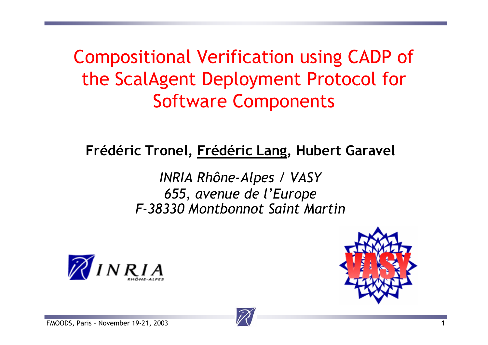Compositional Verification using CADP of the ScalAgent Deployment Protocol for Software Components

#### **Frédéric Tronel, Frédéric Lang, Hubert Garavel**

*INRIA Rhône-Alpes / VASY 655, avenue de l'Europe F-38330 Montbonnot Saint Martin*





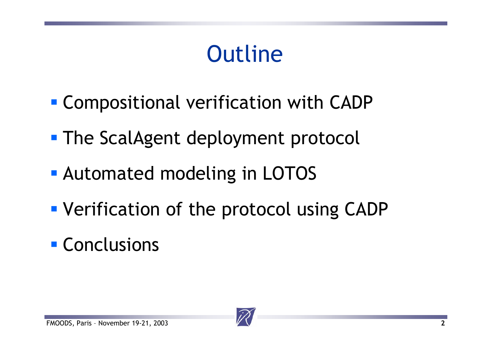# **Outline**

- Compositional verification with CADP
- **The ScalAgent deployment protocol**
- Automated modeling in LOTOS
- Verification of the protocol using CADP

#### **Conclusions**

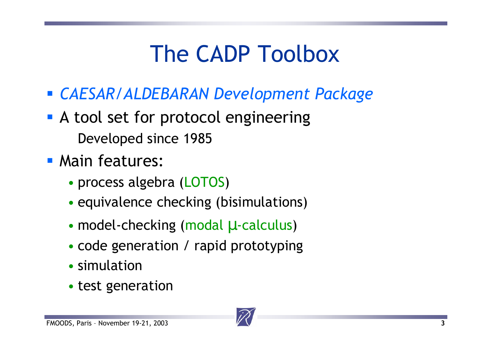#### The CADP Toolbox

- *CAESAR/ALDEBARAN Development Package*
- **A tool set for protocol engineering** Developed since 1985
- **Main features:** 
	- process algebra (LOTOS)
	- equivalence checking (bisimulations)
	- model-checking (modal µ-calculus)
	- code generation / rapid prototyping
	- simulation
	- test generation

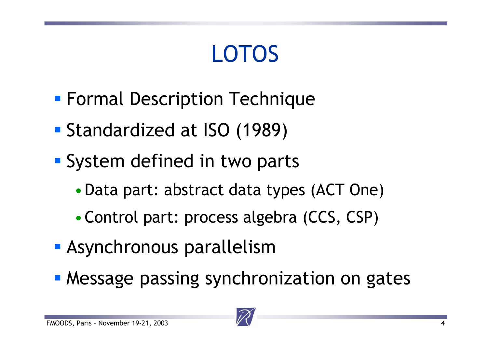# LOTOS

- **Formal Description Technique**
- Standardized at ISO (1989)
- **System defined in two parts** 
	- •Data part: abstract data types (ACT One)
	- •Control part: process algebra (CCS, CSP)
- Asynchronous parallelism
- **Message passing synchronization on gates**

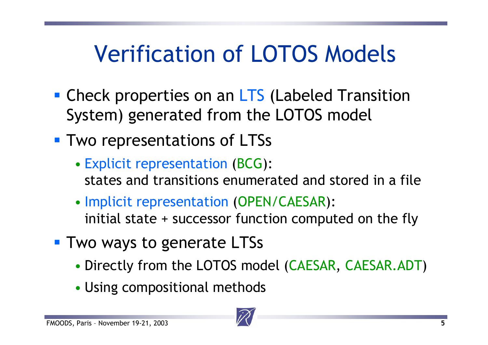# Verification of LOTOS Models

- **Check properties on an LTS (Labeled Transition** System) generated from the LOTOS model
- **Two representations of LTSs** 
	- Explicit representation (BCG): states and transitions enumerated and stored in a file
	- Implicit representation (OPEN/CAESAR): initial state + successor function computed on the fly
- **Two ways to generate LTSs** 
	- Directly from the LOTOS model (CAESAR, CAESAR.ADT)
	- Using compositional methods

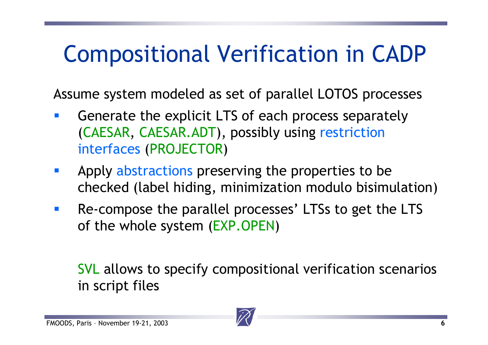## Compositional Verification in CADP

Assume system modeled as set of parallel LOTOS processes

- $\mathcal{L}_{\mathcal{A}}$  Generate the explicit LTS of each process separately (CAESAR, CAESAR.ADT), possibly using restriction interfaces (PROJECTOR)
- $\mathcal{L}^{\mathcal{L}}$  Apply abstractions preserving the properties to be checked (label hiding, minimization modulo bisimulation)
- Re-compose the parallel processes' LTSs to get the LTS of the whole system (EXP.OPEN)

SVL allows to specify compositional verification scenarios in script files

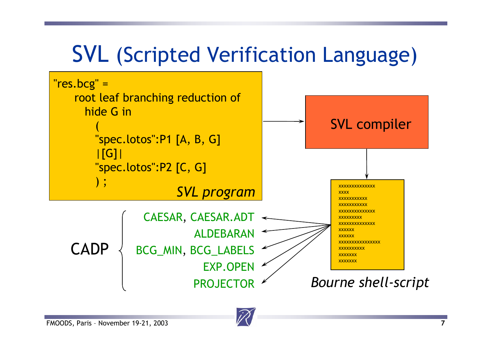#### SVL (Scripted Verification Language)



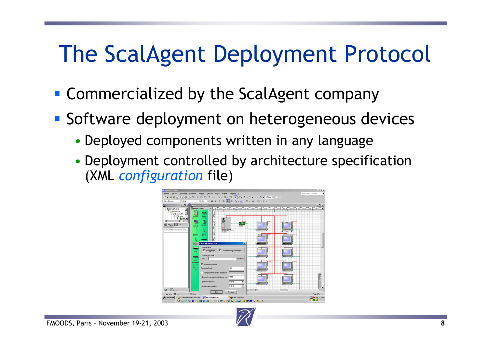#### The ScalAgent Deployment Protocol

- Commercialized by the ScalAgent company
- **Software deployment on heterogeneous devices** 
	- Deployed components written in any language
	- Deployment controlled by architecture specification (XML *configuration* file)

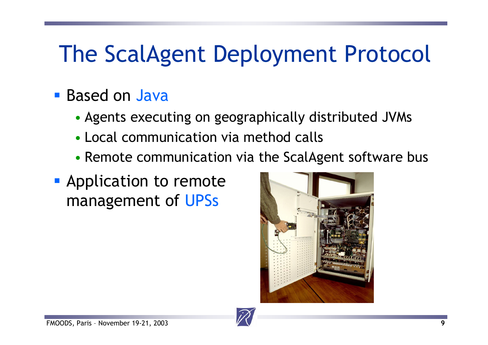#### The ScalAgent Deployment Protocol

#### **Based on Java**

- Agents executing on geographically distributed JVMs
- Local communication via method calls
- Remote communication via the ScalAgent software bus
- **Application to remote** management of UPSs



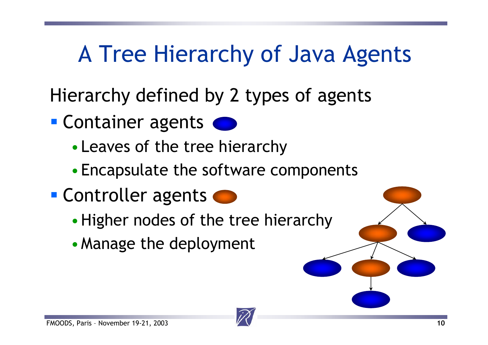#### A Tree Hierarchy of Java Agents

Hierarchy defined by 2 types of agents

- **Container agents CONTRACTOR** 
	- •Leaves of the tree hierarchy
	- •Encapsulate the software components
- **Controller agents** 
	- Higher nodes of the tree hierarchy
	- Manage the deployment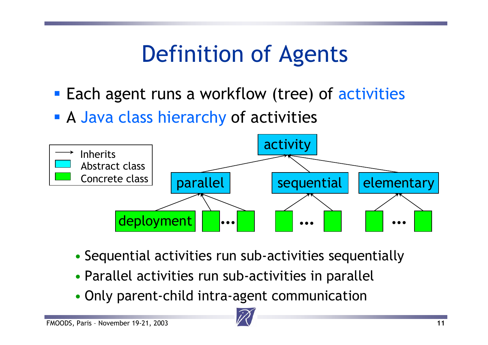#### Definition of Agents

- **Each agent runs a workflow (tree) of activities**
- **A Java class hierarchy of activities**



- Sequential activities run sub-activities sequentially
- Parallel activities run sub-activities in parallel
- Only parent-child intra-agent communication

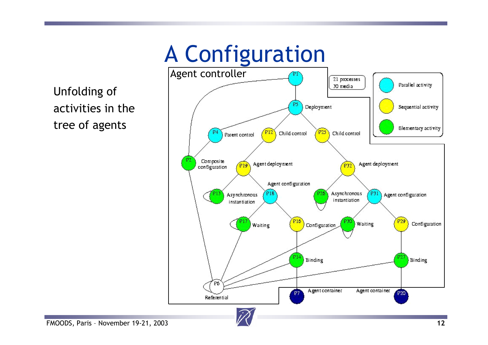# A Configuration

Unfolding of activities in the tree of agents

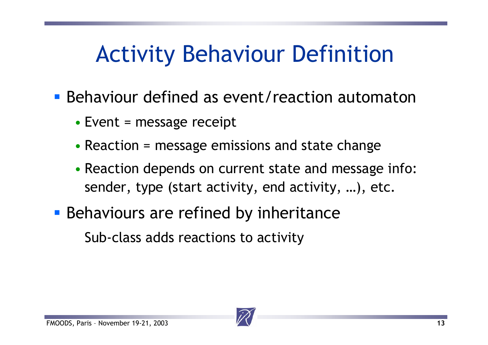#### Activity Behaviour Definition

- **Behaviour defined as event/reaction automaton** 
	- Event = message receipt
	- Reaction = message emissions and state change
	- Reaction depends on current state and message info: sender, type (start activity, end activity, …), etc.
- **Behaviours are refined by inheritance**

Sub-class adds reactions to activity

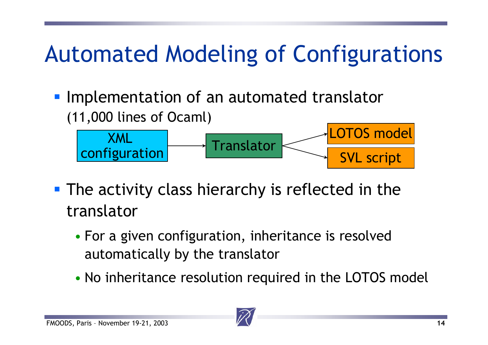# Automated Modeling of Configurations

**Implementation of an automated translator** (11,000 lines of Ocaml)



- **The activity class hierarchy is reflected in the** translator
	- For a given configuration, inheritance is resolved automatically by the translator
	- No inheritance resolution required in the LOTOS model

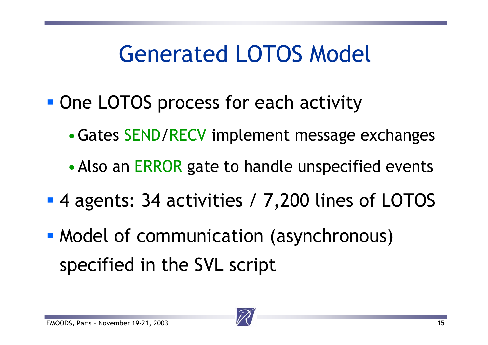#### Generated LOTOS Model

- **One LOTOS process for each activity** 
	- Gates SEND/RECV implement message exchanges
	- Also an ERROR gate to handle unspecified events
- 4 agents: 34 activities / 7,200 lines of LOTOS
- **Model of communication (asynchronous)** specified in the SVL script

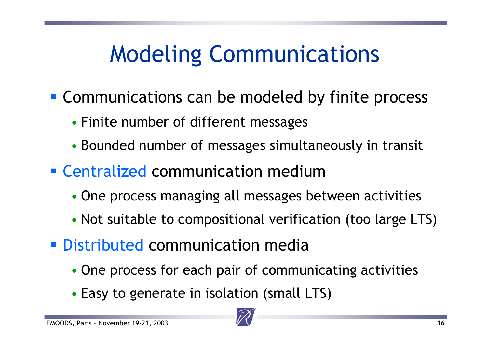# Modeling Communications

- **Communications can be modeled by finite process** 
	- Finite number of different messages
	- Bounded number of messages simultaneously in transit
- **Example 21 Centralized communication medium** 
	- One process managing all messages between activities
	- Not suitable to compositional verification (too large LTS)
- **Distributed communication media** 
	- One process for each pair of communicating activities
	- Easy to generate in isolation (small LTS)

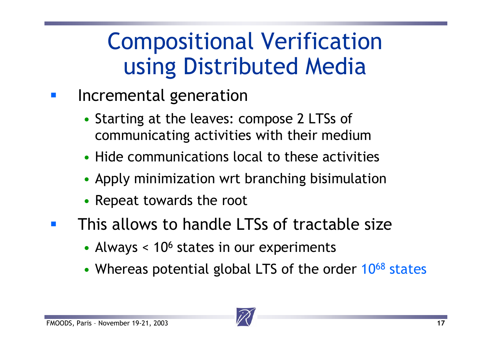#### Compositional Verification using Distributed Media

- Incremental generation
	- Starting at the leaves: compose 2 LTSs of communicating activities with their medium
	- Hide communications local to these activities
	- Apply minimization wrt branching bisimulation
	- Repeat towards the root
- **This allows to handle LTSs of tractable size** 
	- •• Always < 10<sup>6</sup> states in our experiments
	- •• Whereas potential global LTS of the order 10<sup>68</sup> states

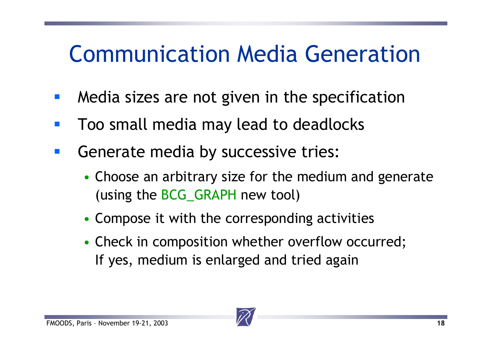#### Communication Media Generation

- $\mathcal{L}_{\mathcal{A}}$ Media sizes are not given in the specification
- Too small media may lead to deadlocks
- Generate media by successive tries:
	- Choose an arbitrary size for the medium and generate (using the BCG\_GRAPH new tool)
	- Compose it with the corresponding activities
	- Check in composition whether overflow occurred; If yes, medium is enlarged and tried again

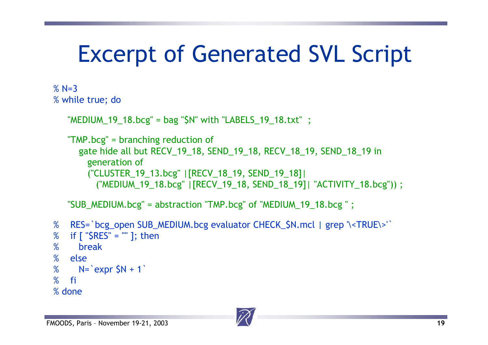#### Excerpt of Generated SVL Script

```
% N=3% while true; do
   "MEDIUM 19 18.bcg" = bag "$N" with "LABELS 19 18.txt" ;
   "TMP.bcg" = branching reduction of
     gate hide all but RECV_19_18, SEND_19_18, RECV_18_19, SEND_18_19 in 
       generation of
        ("CLUSTER_19_13.bcg" |[RECV_18_19, SEND_19_18]| 
         ("MEDIUM_19_18.bcg" |[RECV_19_18, SEND_18_19]| "ACTIVITY_18.bcg")) ;
   "SUB MEDIUM.bcg" = abstraction "TMP.bcg" of "MEDIUM 19 18.bcg " ;
```

```
% RES=`bcg_open SUB_MEDIUM.bcg evaluator CHECK_$N.mcl | grep '\<TRUE\>'`
% if \lceil "$RES" = "" ]; then
% break% else% N = \text{expr } SM + 1% fi% done
```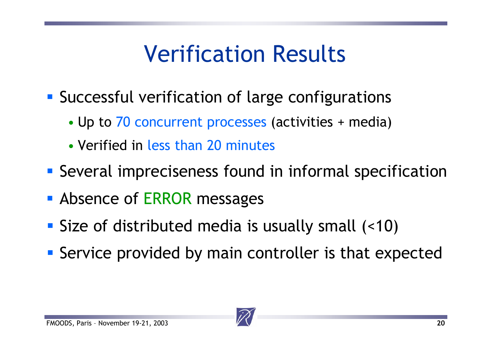#### Verification Results

- Successful verification of large configurations
	- Up to 70 concurrent processes (activities + media)
	- Verified in less than 20 minutes
- **Several impreciseness found in informal specification**
- **Absence of ERROR messages**
- Size of distributed media is usually small (<10)
- **Service provided by main controller is that expected**

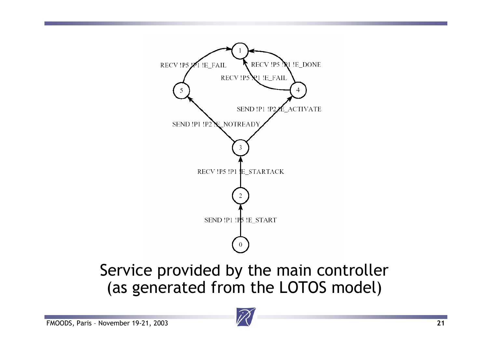

Service provided by the main controller (as generated from the LOTOS model)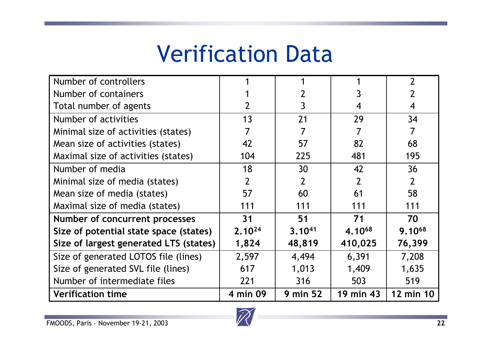#### Verification Data

| Number of controllers                  |                |                 |                | $\overline{2}$ |
|----------------------------------------|----------------|-----------------|----------------|----------------|
| Number of containers                   |                |                 |                |                |
| Total number of agents                 | $\overline{2}$ | 3               | 4              | 4              |
| Number of activities                   | 13             | 21              | 29             | 34             |
| Minimal size of activities (states)    |                | 7               |                | 7              |
| Mean size of activities (states)       | 42             | 57              | 82             | 68             |
| Maximal size of activities (states)    | 104            | 225             | 481            | 195            |
| Number of media                        | 18             | 30              | 42             | 36             |
| Minimal size of media (states)         | $\overline{2}$ | $\overline{2}$  | $\overline{2}$ | $\overline{2}$ |
| Mean size of media (states)            | 57             | 60              | 61             | 58             |
| Maximal size of media (states)         | 111            | 111             | 111            | 111            |
| Number of concurrent processes         | 31             | 51              | 71             | 70             |
| Size of potential state space (states) | $2.10^{24}$    | $3.10^{41}$     | 4.1068         | 9.1068         |
| Size of largest generated LTS (states) | 1,824          | 48,819          | 410,025        | 76,399         |
| Size of generated LOTOS file (lines)   | 2,597          | 4,494           | 6,391          | 7,208          |
| Size of generated SVL file (lines)     | 617            | 1,013           | 1,409          | 1,635          |
| Number of intermediate files           | 221            | 316             | 503            | 519            |
| <b>Verification time</b>               | 4 min 09       | <b>9 min 52</b> | 19 min 43      | 12 min 10      |

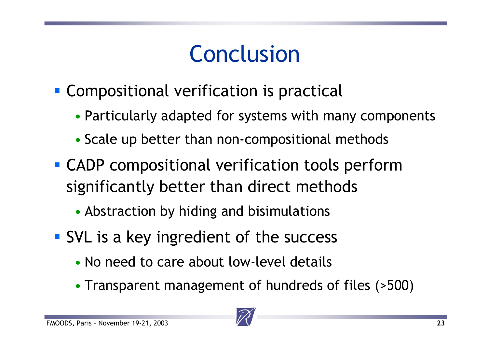## Conclusion

- **Compositional verification is practical** 
	- Particularly adapted for systems with many components
	- Scale up better than non-compositional methods
- CADP compositional verification tools perform significantly better than direct methods
	- Abstraction by hiding and bisimulations
- **SVL** is a key ingredient of the success
	- No need to care about low-level details
	- Transparent management of hundreds of files (>500)